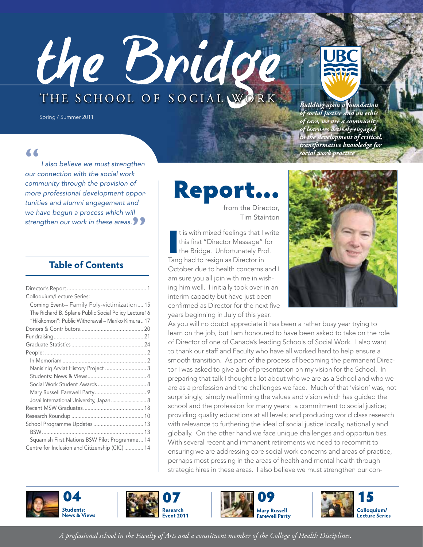# the Bridg THE SCHOOL OF SOCIAL WORK



*Building upon a foundation of social justice and an ethic of care, we are a community of learners actively engaged in the development of critical, transformative knowledge for social work practice*

#### **"**

*I also believe we must strengthen our connection with the social work community through the provision of more professional development opportunities and alumni engagement and we have begun a process which will strengthen our work in these areas.***"**

Spring / Summer 2011

#### **Table of Contents**

| Colloquium/Lecture Series:                           |
|------------------------------------------------------|
| Coming Event-- Family Poly-victimization 15          |
| The Richard B. Splane Public Social Policy Lecture16 |
| "Hikikomori": Public Withdrawal – Mariko Kimura  17  |
|                                                      |
|                                                      |
|                                                      |
|                                                      |
|                                                      |
| Nanisiniq Arviat History Project  3                  |
|                                                      |
| Social Work Student Awards  8                        |
|                                                      |
| Josai International University, Japan  8             |
|                                                      |
|                                                      |
| School Programme Updates  13                         |
|                                                      |
| Squamish First Nations BSW Pilot Programme 14        |
| Centre for Inclusion and Citizenship (CIC) 14        |

Report

from the Director, Tim Stainton

It is with mixed feelings that I<br>
this first "Director Message" is<br>
the Bridge. Unfortunately Pre<br>
Tang had to resign as Director in t is with mixed feelings that I write this first "Director Message" for the Bridge. Unfortunately Prof. October due to health concerns and I am sure you all join with me in wishing him well. I initially took over in an interim capacity but have just been confirmed as Director for the next five years beginning in July of this year.



As you will no doubt appreciate it has been a rather busy year trying to learn on the job, but I am honoured to have been asked to take on the role of Director of one of Canada's leading Schools of Social Work. I also want to thank our staff and Faculty who have all worked hard to help ensure a smooth transition. As part of the process of becoming the permanent Director I was asked to give a brief presentation on my vision for the School. In preparing that talk I thought a lot about who we are as a School and who we are as a profession and the challenges we face. Much of that 'vision' was, not surprisingly, simply reaffirming the values and vision which has guided the school and the profession for many years: a commitment to social justice; providing quality educations at all levels; and producing world class research with relevance to furthering the ideal of social justice locally, nationally and globally. On the other hand we face unique challenges and opportunities. With several recent and immanent retirements we need to recommit to ensuring we are addressing core social work concerns and areas of practice, perhaps most pressing in the areas of health and mental health through strategic hires in these areas. I also believe we must strengthen our con-









*A professional school in the Faculty of Arts and a constituent member of the College of Health Disciplines.*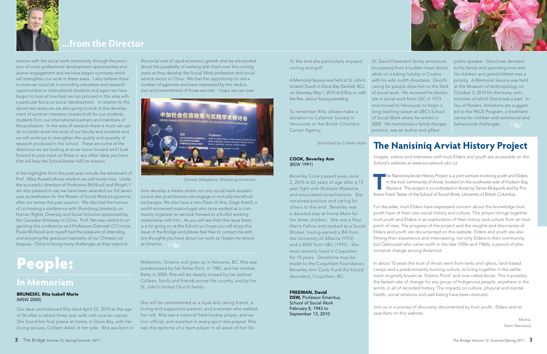

## **...from the Director**

nection with the social work community through the provision of more professional development opportunities and alumni engagement and we have begun a process which will strengthen our work in these areas. I also believe there is more we could do in providing education and research opportunities to international students and again we have begun to look at how best we can proceed in this area with a particular focus on social development. In relation to the above two areas we are also going to look at the development of summer intensive courses both for our students, students from our international partners and members of the profession. In the area of research there is much we can do to better share the work of our faculty and students and we will continue to strengthen the quality and quantity of research produced in the School. These are some of the directions we are looking at as we move forward and I look forward to your input on these or any other ideas you have that will help the School better fulfil its mission.

A few highlights from this past year include the retirement of Prof. Mary Russell whose wisdom we will sorely miss. Under the successful direction of Professors McNicoll and Wright, I am also pleased to say we have been awarded our full seven year accreditation for the Master of Social Work programme after our review this past autumn. We also had the honour of co-hosting a conference with Shandong University on Human Rights, Diversity and Social Inclusion sponsored by the Canadian Embassy in China. Prof. Yan was central to organizing this conference and Professors Deborah O'Connor, Paule McNicoll and myself had the pleasure of attending and enjoying the gracious hospitality of our Chinese colleagues. China is facing many challenges as they respond

> DSW, Professor Emeritus, School of Social Work February 8, 1943 to September 13, 2010

the social cost of rapid economic growth and we are excited about the possibility of working with them over the coming years as they develop the Social Work profession and social service sector in China. We had the opportunity to visit a number of agencies and were impressed by the dedication and commitment of those we met. I hope we can over

public speaker. David was devoted to his family and spending time with his children and grandchildren was a priority. A Memorial Service was held at the Museum of Anthropology on October 3, 2010 for the many communities of which David was a part. In lieu of flowers, donations are suggested to the PACE Program, a treatment centre for children with emotional and behavioural challenges. **• Allenges** 

time develop a means where not only social work academics but also practitioners can engage in mutually beneficial exchanges. We also have a new Dean of Arts, Gage Averill, a world renowned musicologist who once worked as a community organizer so we look forward to a fruitful working relationship with him. As you will see from this issue there is a lot going on at the School so I hope you will enjoy this issue of the Bridge and please feel free to contact me with any thoughts you have about our work as I begin my tenure as Director. •

To the end she particularly enjoyed curling and golf.

> *Images, videos and interviews with Inuit Elders and youth are accessible on the School's website at www.socialwork.ubc.ca*

A Memorial Service was held at St. John's United Church in Davis Bay (Sechelt, BC), on Saturday, May 1, 2010 at 2:00 p.m. with the Rev. Janice Young presiding.

To remember Rita, please make a donation to Callanish Society in Vancouver or the British Columbia Cancer Agency.

> The Nanisiniq Arviat History Project is a joint venture involving youth and Elders<br>in the Inuit community of Arviat, located on the southwest side of Hudson Bay,<br>Nunavut. The project is co-ordinated in Arviat by Tamar Muky in the Inuit community of Arviat, located on the southwest side of Hudson Bay, Nunavut. The project is co-ordinated in Arviat by Tamar Mukyunik and by Professor Frank Tester of the School of Social Work, University of British Columbia.

*Submitted by Colleen Adair*

#### COOK, Beverley Ann (BSW 1991)

Beverley Cook passed away June 2, 2010 at 62 years of age after a 15 year fight with Multiple Myeloma and associated complications. She remained positive and caring for others to the end. Beverley was a devoted stay at home Mom for her three children. She was a Paul Harris Fellow and worked as a Social Worker, having earned a BA from the University of Alberta (1972) and a BSW from UBC (1991). She most recently lived in Coquitlam for 19 years. Donations may be made to the Coquitlam Foundation, Beverley Ann Cook Fund (for blood disorders), Coquitlam, BC.

#### FREEMAN, David

Dr. David Freeman's family announces his passing from a sudden heart attack while on a biking holiday in Croatia with his wife Judith Anastasia. David's caring for people drew him to the field of social work. He received his doctorate in social work from USC in 1973 and moved to Vancouver to begin a long teaching career at UBC's School of Social Work where he retired in 2003. He maintained a family therapy practice, was an author and gifted

# People:

### **In Memoriam**

#### BRUNESKI, Rita Isabell Marie (MSW 2000)

Our dear and beloved Rita died April 22, 2010 at the age of 56 after a valiant three year walk with ovarian cancer. She found her final peace at home, in Davis Bay, with her loving spouse, Colleen Adair at her side. Rita was born in Walkerton, Ontario and grew up in Kelowna, BC. Rita was predeceased by her father Emil, in 1985, and her mother, Betty in 2004. Rita will be deeply missed by her partner Colleen, family and friends across the country, and by her St. John's United Church family.

She will be remembered as a loyal and caring friend, a loving and supportive partner, and a woman who walked her talk. Rita was a national field hockey player, and senior official, and excelled in every sport she played. Rita was the epitome of a team player in all areas of her life.



*Chinese Delegation, Shandong University*

## **The Nanisiniq Arviat History Project**

For decades, Inuit Elders have expressed concern about the knowledge Inuit youth have of their own social history and culture. This project brings together Inuit youth and Elders in an exploration of their history and culture from an Inuit point of view. The progress of the project and the insights and discoveries of Elders and youth are documented on this website. Elders and youth are also filming their experience and interviewing, not only Elders in their community, but Qablunaat who came north in the late 1950s and 1960s, a period of phenomenal change among Aviarmiut.

In about 10 years the Inuit of Arviat went from tents and igloos, land-based camps and a predominantly hunting culture, to living together in the settlement originally known as 'Eskimo Point' and now called Arviat. This is possibly the fastest rate of change for any group of Indigenous people, anywhere in the world, in all of recorded history. The impacts on culture, physical and mental health, social relations and well-being have been dramatic.

Join us in a journey of discovery, documented by Inuit youth, Elders and researchers on this website.



*Mutna, Team Nanisiniq*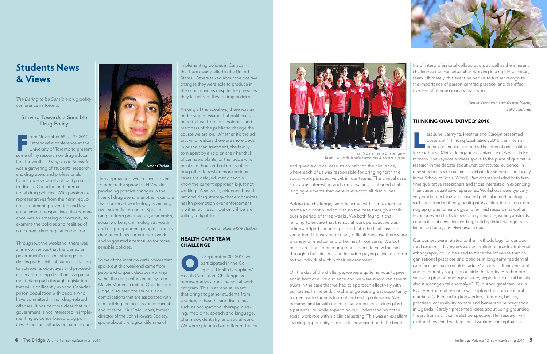## **Students News & Views**

*The Daring to be Sensible* drug policy conference in Toronto

#### Striving Towards a Sensible Drug Policy

From November  $5<sup>th</sup>$  to  $7<sup>th</sup>$ , 2010, I attended a conference at the University of Toronto to present some of my research on drug education for youth. *Daring to be Sensible* was a gathering of students, researchers, drug users and professionals from a diverse variety of backgrounds to discuss Canadian and international drug policies. With passionate representatives from the harm reduction, treatment, prevention and law enforcement perspectives, this conference was an amazing opportunity to examine the policies and realities of our current drug regulation regime.

Throughout the weekend, there was a firm consensus that the Canadian government's present strategy for dealing with illicit substances is failing to achieve its objectives and proceeding in a troubling direction. As parliamentarians push through legislation that will significantly expand Canada's prison population with people who have committed minor drug-related offenses, it has become clear that our government is not interested in implementing evidence-based drug policies. Constant attacks on harm reduction approaches, which have proven to reduce the spread of HIV while producing positive changes in the lives of drug users, is another example that conservative ideology is winning over scientific research. Speakers ranging from pharmacists, academics, social workers, criminologists, youth and drug-dependent people, strongly denounced this current framework and suggested alternatives for more sensible policies.

> n September 30, 2010 we<br>
> participated in the College of Health Disciplines<br>
> Health Care Team Challenge as participated in the College of Health Disciplines' Health Care Team Challenge as representatives from the social work program. This is an annual event that brings together students from a variety of health care disciplines, such as occupational therapy, nursing, medicine, speech and language, pharmacy, dentistry, and social work. We were split into two different teams

Some of the most powerful voices that spoke out this weekend came from people who spent decades working within the drug enforcement system. Marvin Morten, a retired Ontario court judge, discussed the serious legal complications that are associated with criminalizing the possession of cannabis and cocaine. Dr. Craig Jones, former director of the John Howard Society, spoke about the logical dilemma of

implementing policies in Canada that have clearly failed in the United States. Others talked about the positive changes they were able to produce in their communities despite the pressures they faced from flawed drug policies.

Among all the speakers, there was an underlying message that politicians need to hear from professionals and members of the public to change the course we are on. Whether it's the addict who realizes there are more beds in prison than treatment, the family torn apart by a raid on their handful of cannabis plants, or the judge who must see thousands of non-violent drug offenders while more serious cases are delayed, many people know the current approach is just not working. A sensible, evidence-based national drug strategy that emphasizes health promotion over enforcement is within our reach, but only if we are willing to fight for it.

*Amar Ghelani, MSW student*

#### HEALTH CARE TEAM CHALLENGE

ast June, Jasmyne, Heather and Carolyn presented<br>posters at "Thinking Qualitatively 2010", an interna-<br>tional conference hosted by The International Institutional Conference hosted by The International Institutional posters at "Thinking Qualitatively 2010", an international conference hosted by The International Institute for Qualitative Methodology at the University of Alberta in Edmonton. The keynote address spoke to the place of qualitative research in the debate about what constitutes 'evidence' in mainstream research (a familiar debate for students and faculty in the School of Social Work!). Participants included both firsttime qualitative researchers and those interested in expanding their current qualitative repertoires. Workshops were typically very practical in focus and covered particular methodologies such as grounded theory, participatory action, institutional ethnography, phenomenology, and feminist research, as well as techniques and tricks for searching literature, writing abstracts, conducting observation, coding, building in knowledge translation, and analysing discourse in data.

and given a clinical case study prior to the challenge, where each of us was responsible for bringing forth the social work perspective within our teams. The clinical case study was interesting and complex, and contained challenging elements that were relevant to all disciplines.

Before the challenge, we briefly met with our respective teams and continued to discuss the case through emails over a period of three weeks. We both found it challenging to ensure that the social work perspective was acknowledged and incorporated into the final case presentation. This was particularly difficult because there were a variety of medical and other health concerns. We both made an effort to encourage our teams to view the case through a holistic lens that included paying close attention to the individual within their environment.

fits of interprofessional collaboration, as well as the inherent challenges that can arise when working in a multidisciplinary team. Ultimately, this event helped us to further recognize the importance of person-centred practice, and the effectiveness of interdisciplinary teamwork.

> *Jamila Kamrudin and Yousra Syeda, BSW students*

#### THINKING QUALITATIVELY 2010

On the day of the challenge, we were quite nervous to present in front of a live audience and we were also given several twists in the case that we had to approach effectively with our teams. In the end, the challenge was a great opportunity to meet with students from other health professions. We became familiar with the role that various disciplines play in a patient's life, while expanding our understanding of the social work role within a clinical setting. This was an excellent learning opportunity because it showcased both the bene-Our posters were related to the methodology for our doctoral research. Jasmyne's was an outline of how institutional ethnography could be used to trace the influence that organizational practices and policies in long-term residential care facilities have on older adults' access to their personal and community supports outside the facility. Heather presented a phenomenological study exploring cultural beliefs about a congenital anomaly (CLP) in Aboriginal families in BC. Her doctoral research will explore the socio-cultural matrix of CLP including knowledge, attitudes, beliefs, practices, accessibility to care and barriers to reintegration in Uganda. Carolyn presented ideas about using grounded theory from a critical realist perspective. Her research will explore how child welfare social workers conceptualise





*Health Care Team Challenge – Team "A" with Jamila Kamrudin & Yousra Syeda*



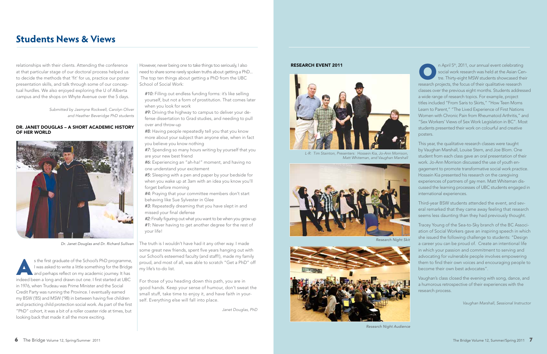relationships with their clients. Attending the conference at that particular stage of our doctoral process helped us to decide the methods that 'fit' for us, practice our poster presentation skills, and talk through some of our conceptual hurdles. We also enjoyed exploring the U of Alberta campus and the shops on Whyte Avenue over the 5 days.

> *Submitted by Jasmyne Rockwell, Carolyn Oliver and Heather Beveridge PhD students*

#### DR. JANET DOUGLAS – A SHORT ACADEMIC HISTORY OF HER WORLD

s the first graduate of the School's PhD programme,<br>I was asked to write a little something for the Bridge<br>and perhaps reflect on my academic journey. It has<br>indeed been a long and drawn out one. I first started at UBC I was asked to write a little something for the Bridge and perhaps reflect on my academic journey. It has indeed been a long and drawn out one. I first started at UBC in 1976, when Trudeau was Prime Minister and the Social Credit Party was running the Province. I eventually earned my BSW ('85) and MSW ('98) in between having five children and practicing child protection social work. As part of the first "PhD" cohort, it was a bit of a roller coaster ride at times, but looking back that made it all the more exciting.

However, never being one to take things too seriously, I also need to share some rarely spoken truths about getting a PhD... The top ten things about getting a PhD from the UBC School of Social Work:

*#10:* Filling out endless funding forms: it's like selling yourself, but not a form of prostitution. That comes later when you look for work

*#9:* Driving the highway to campus to deliver your defense dissertation to Grad studies, and needing to pull over and throw-up

*#8:* Having people repeatedly tell you that you know more about your subject than anyone else, when in fact you believe you know nothing

n April 5<sup>th</sup>, 2011, our annual event celebrating<br>social work research was held at the Asian Cer<br>tre. Thirty-eight MSW students showcased the<br>species the focus of their qualitative research social work research was held at the Asian Centre. Thirty-eight MSW students showcased their research projects, the focus of their qualitative research classes over the previous eight months. Students addressed a wide range of research topics. For example, project titles included "From Saris to Skirts," "How Teen Moms Learn to Parent," "The Lived Experience of First Nations Women with Chronic Pain from Rheumatoid Arthritis," and "Sex Workers' Views of Sex Work Legislation in BC". Most students presented their work on colourful and creative posters.

*#7:* Spending so many hours writing by yourself that you are your new best friend

*#6:* Experiencing an "ah-ha!" moment, and having no one understand your excitement

*#5:* Sleeping with a pen and paper by your bedside for when you wake up at 3am with an idea you know you'll forget before morning

*#4:* Praying that your committee members don't start behaving like Sue Sylvester in Glee

*#3:* Repeatedly dreaming that you have slept in and missed your final defense

*#2:* Finally figuring out what you want to be when you grow up *#1:* Never having to get another degree for the rest of your life!

The truth is I wouldn't have had it any other way. I made some great new friends, spent five years hanging out with our School's esteemed faculty (and staff!), made my family proud, and most of all, was able to scratch "Get a PhD" off my life's to-do list.

For those of you heading down this path, you are in good hands. Keep your sense of humour, don't sweat the small stuff, take time to enjoy it, and have faith in yourself. Everything else will fall into place.

*Janet Douglas, PhD*

This year, the qualitative research classes were taught by Vaughan Marshall, Louise Stern, and Joe Blom. One student from each class gave an oral presentation of their work. Jo-Ann Morrison discussed the use of youth engagement to promote transformative social work practice. Hossein Kia presented his research on the caregiving experiences of partners of gay men. Matt Whiteman discussed the learning processes of UBC students engaged in international experiences.

Third-year BSW students attended the event, and several remarked that they came away feeling that research seems less daunting than they had previously thought.

Tracey Young of the Sea-to-Sky branch of the BC Association of Social Workers gave an inspiring speech in which she issued the following challenge to students: "Design a career you can be proud of. Create an intentional life in which your passion and commitment to serving and advocating for vulnerable people involves empowering them to find their own voices and encouraging people to become their own best advocates".

Vaughan's class closed the evening with song, dance, and a humorous retrospective of their experiences with the research process.

*Vaughan Marshall, Sessional Instructor*

*Research Night Audience*





*Research Night Skit*





*L-R: Tim Stainton, Presenters: Hossein Kia, Jo-Ann Morrison, Matt Whiteman, and Vaughan Marshall*

### **Students News & Views**



*Dr. Janet Douglas and Dr. Richard Sullivan*

#### RESEARCH EVENT 2011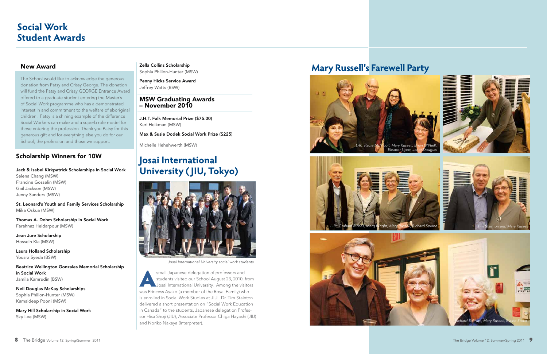#### Scholarship Winners for 10W

Jack & Isabel Kirkpatrick Scholarships in Social Work Selena Chang (MSW) Francine Gosselin (MSW) Gail Jackson (MSW) Jenny Sanders (MSW)

St. Leonard's Youth and Family Services Scholarship Mika Oskua (MSW)

Thomas A. Dohm Scholarship in Social Work Farahnaz Heidarpour (MSW)

Jean Jure Scholarship Hossein Kia (MSW)

Laura Holland Scholarship Yousra Syeda (BSW)

Beatrice Wellington Gonzales Memorial Scholarship in Social Work Jamila Kamrudin (BSW)

Neil Douglas McKay Scholarships Sophia Philion-Hunter (MSW) Kamaldeep Pooni (MSW)

Mary Hill Scholarship in Social Work Sky Lee (MSW)

Zella Collins Scholarship Sophia Philion-Hunter (MSW)

Penny Hicks Service Award Jeffrey Watts (BSW)

small Japanese delegation of professors and students visited our School August 23, 2010, from Josai International University. Among the visitors was Princess Ayako (a member of the Royal Family) who is enrolled in Social Work Studies at JIU. Dr. Tim Stainton delivered a short presentation on "Social Work Education in Canada" to the students, Japanese delegation Professor Hisa Shoji (JIU), Associate Professor Chiga Hayashi (JIU) and Noriko Nakaya (Interpreter).

#### MSW Graduating Awards – November 2010

J.H.T. Falk Memorial Prize (\$75.00) Keri Heikman (MSW)

Max & Susie Dodek Social Work Prize (\$225)

Michelle Hehehwerth (MSW)

## **Josai International University ( JIU, Tokyo)**









*Josai International University social work students*

### **Mary Russell's Farewell Party**

## **Social Work Student Awards**

#### New Award

The School would like to acknowledge the generous donation from Patsy and Crissy George. The donation will fund the Patsy and Crissy GEORGE Entrance Award offered to a graduate student entering the Master's of Social Work programme who has a demonstrated interest in and commitment to the welfare of aboriginal children. Patsy is a shining example of the difference Social Workers can make and a superb role model for those entering the profession. Thank you Patsy for this generous gift and for everything else you do for our School, the profession and those we support.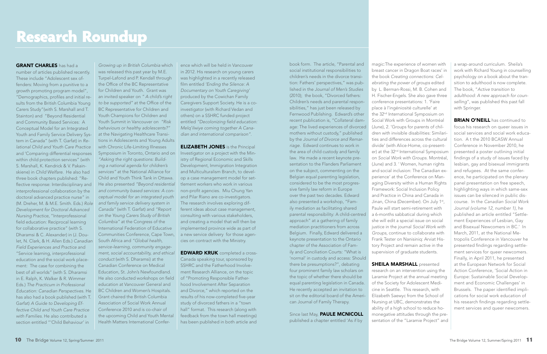number of articles published recently. These include "Adolescent sex offenders: Moving from a punitive to a growth promoting program model", "Demographics, profiles and initial results from the British Columbia Young Carers Study"(with S. Marshall and T. Stainton) and "Beyond Residential and Community Based Services: A Conceptual Model for an Integrated Youth and Family Service Delivery System in Canada" (with T. Garfat) in *Relational Child and Youth Care Practice* and 'Comparing differential responses within child protection services" (with S. Marshall, K. Kendrick & V. Pakainskiene) in *Child Welfare*. He also had three book chapters published: "Reflective response: Interdisciplinary and interprofessional collaboration by the doctoral advanced practice nurse" in (M. Dreher, M. & M.E. Smith. Eds.) *Role and family service delivery system in Development for Doctoral Advanced Nursing Practice*, "Interprofessional field education: Reciprocal learning for collaborative practice" (with S. Dharamsi & C. Alexander) in (J. Doulet, N. Clark, & H. Allen Eds.) *Canadian Field Experiences and Practice* and "Service learning, interprofessional education and the social work placement: The case for combining the best of all worlds" (with S. Dharamsi in E. Ralph, K. Walker & R. Wimmer Eds.) *The Practicum in Professional Education: Canadian Perspectives*. He BC Children and Women's Hospitals. has also had a book published (with T. Garfat) *A Guide to Developing Effective Child and Youth Care Practice with Families*. He also contributed a section entitled "'Child Behaviour' in

**ELIZABETH JONES** is the Principal Investigator on a project with the Ministry of Regional Economic and Skills Development, Immigration Integration and Multiculturalism Branch, to develop a case management model for settlement workers who work in various non-profit agencies. Miu Chung Yan and Pilar Riano are co-investigators. The research involves exploring different ideas about case management, consulting with various stakeholders, and creating a model that will then be implemented province wide as part of a new service delivery for those agencies on contract with the Ministry.

*Growing up in British Columbia* which was released this past year by M.E. Turpel-Lafond and P. Kendall through the Office of the BC Representative for Children and Youth. Grant was an invited speaker on *" A child's right to be supported"* at the Office of the BC Representative for Children and Youth Champions for Children and Youth Summit in Vancouver on *"Risk behaviours or healthy adolescents?"* at the Navigating Healthcare Transitions in Adolescents and Young Adults with Chronic Life-Limiting Illnesses Symposium in Toronto, Ontario and on *"Asking the right questions: Building a national agenda for children's services"* at the National Alliance for Child and Youth Think Tank in Ottawa. He also presented *"Beyond residential and community based services: A conceptual model for an integrated youth Canada"* (with T. Garfat) and *"Report on the Young Carers Study of British Columbia"* at the Congress of the International Federation of Educative Communities Conference, Cape Town, South Africa and *"Global health, service-learning, community engagement, social accountability, and ethical conduct* (with S. Dharamsi) at the Canadian Conference on Medical Education, St. John's Newfoundland. He also conducted workshops on field education at Vancouver General and Grant chaired the British Columbia Association of Social Work Annual Conference 2010 and is co-chair of the upcoming Child and Youth Mental Health Matters International Confer-

Since last May, **PAULE MCNICOLL** published a chapter entitled 'As if by

ence which will be held in Vancouver in 2012. His research on young carers was highlighted in a recently released film entitled *'Ending the Silence: A Documentary on Youth Caregiving'* produced by the Cowichan Family Caregivers Support Society. He is a coinvestigator (with Richard Vedan and others) on a SSHRC funded project entitled *"Decolonizing field education: Melq'ilwiye coming together A Canadian and international comparison"*.

> **SHEILA MARSHALL** presented research on an intervention using the Laramie Project at the annual meeting of the Society for Adolescent Medicine in Seattle. This research, with Elizabeth Saewyc from the School of Nursing at UBC, demonstrates the ability of a high school to reduce homonegative attitudes through the presentation of the "Laramie Project" and

EDWARD KRUK completed a cross-Canada speaking tour, sponsored by SSHRC and the Fatherhood Involvement Research Alliance, on the topic of "Promoting Responsible Fatherhood Involvement After Separation and Divorce," which reported on the results of his now-completed five-year study of divorced fathers in a "town hall" format. This research (along with feedback from the town hall meetings) has been published in both article and

**BRIAN O'NEILL** has continued to focus his research on queer issues in social services and social work education. A t the 2010 BCASW Annual Conference in November 2010, he presented a poster outlining initial findings of a study of issues faced by lesbian, gay and bisexual immigrants and refugees. At the same conference, he participated on the plenary panel presentation on free speech, highlighting ways in which same-sex issues can be silenced in public discourse. In the *Canadian Social Work Journal (volume 12, number 1)*, he published an article entitled "Settlement Experiences of Lesbian, Gay and Bisexual Newcomers in BC.' In March, 2011, at the National Metropolis Conference in Vancouver he presented findings regarding settlement services for queer newcomers. Finally, in April 2011, he presented at the European Network for Social Action Conference, 'Social Action in Europe: Sustainable Social Development and Economic Challenges' in Brussels. The paper identified implications for social work education of his research findings regarding settlement services and queer newcomers.

book form. The article, "Parental and social institutional responsibilities to children's needs in the divorce transition: Fathers' perspectives," was published in the *Journal of Men's Studies*  (2010); the book, "Divorced fathers: Children's needs and parental responsibilities," has just been released by Fernwood Publishing. Edward's other recent publication is, "Collateral damage: The lived experiences of divorced mothers without custody," published by the *Journal of Divorce and Remarriage*. Edward continues to work in the area of child custody and family law. He made a recent keynote presentation to the Flanders Parliament on the subject, commenting on the Belgian equal parenting legislation, considered to be the most progressive family law reform in Europe over the past two decades. Edward also presented a workshop, "Family mediation as facilitating shared parental responsibility: A child-centred approach" at a gathering of family mediation practitioners from across Belgium. Finally, Edward delivered a keynote presentation to the Ontario chapter of the Association of Family and Conciliation Courts: "What is 'normal' in custody and access: Should there be presumptions?", debating four prominent family law scholars on the topic of whether there should be equal parenting legislation in Canada. He recently accepted an invitation to sit on the editorial board of the Ameri-

can Journal of Family Therapy.

magic:The experience of women with breast cancer in Dragon Boat races' in the book *Creating connections: Celebrating the power of groups* edited by L. Berman-Rossi, M. B. Cohen and H. Fischer-Engels. She also gave three conference presentations: 1. 'Faire place à l'ingéniosité culturelle' at the 32<sup>nd</sup> International Symposium on Social Work with Groups in Montréal (June), 2. 'Groups for parents of children with invisible disabilities: Similarities and differences across the cultural divide' (with Alice-Home, co-presenter) at the 32<sup>nd</sup> International Symposium on *Social Work with Groups*. Montréal, (June) and 3. ' Women, human rights and social inclusion: The Canadian experience' at the Conference on Managing Diversity within a Human Rights Framework: Social Inclusion Policy and Practice in China and Canada in Jinan, China (December). On July 1<sup>st</sup>, Paule will start semi-retirement with a 6-months sabbatical during which she will edit a special issue on social justice in the journal *Social Work with Groups*, continue to collaborate with Frank Tester on Nanisiniq: Arviat History Project and remain active in the supervision of graduate students.

a wrap-around curriculum. Sheila's work with Richard Young in counselling psychology on a book about the transition to adulthood is now complete. The book, "*Active transition to adulthood: A new approach for counselling*", was published this past fall with Springer.

#### **GRANT CHARLES** has had a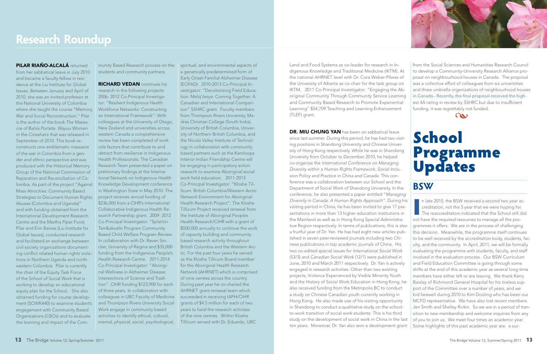PILAR RIAÑO-ALCALÁ returned from her sabbatical leave in July 2010 and became a faculty fellow in residence at the Liu Institute for Global Issues. Between January and April of 2010, she was an invited professor at the National University of Colombia where she taught the course "Memory, Workforce Networks: Constructing War and Social Reconstruction." Pilar is the author of the book *The Massacre of Bahía Portete. Wayuu Women in the Crosshairs* that was released in September of 2010. This book reconstructs one emblematic massacre of the war in Colombia from a gender and ethnic perspective and was produced with the Historical Memory Group of the National Commission of Reparation and Reconciliation of Colombia. As part of the project "Against Knowledge Development conference Mass Atrocities: Community Based Strategies to Document Human Rights project receives annual funding of Abuses (Colombia and Uganda)" and with funding obtained from the International Development Research Centre and the Martha Piper Fund, Pilar and Erin Baines (Liu Institute for Global Issues), conducted research and facilitated an exchange between civil society organizations documenting conflict related human rights violations in Northern Uganda and northwestern Colombia. Pilar is currently the chair of the Equity Task Force of the School of Social Work that is working to develop an educational equity plan for the School. She also obtained funding for course development (SOWK440) to examine student's engagement with Community Based Organizations (CBOs) and to evaluate the learning and impact of the Com-

munity Based Research process on the students and community partners.

RICHARD VEDAN continues his research in the following projects: 2006- 2012 Co-Principal Investigator: "Resilient Indigenous Health an International Framework". With colleagues at the University of Otago, New Zealand and universities across western Canada a comprehensive review has been completed of work role factors that contribute to and detract from resilience in Indigenous Health Professionals. The Canadian Research Team presented a paper on preliminary findings at the International Network on Indigenous Health in Washington State in May 2010. The \$236,000 from a CIHR's International Collaborative Indigenous Health Research Partnership grant. 2009- 2012 Co-Principal Investigator: "Splat'sin Tsm&aksaltn Program Community Based Child Welfare Program Review. In collaboration with Dr. Raven Sinclair, University of Regina and \$35,000 funding from the Indigenous People's Health Research Centre. 2011-2014 Co-Principal Investigator: "Aboriginal Wellness in Alzheimer Disease: Intersections of Science and Tradition". CIHR funding \$123,900 for each of three years. In collaboration with colleagues in UBC Faculty of Medicine and Thompson Rivers University Social Work engage in community based activities to identify ethical, cultural, mental, physical, social, psychological,

spiritual, and environmental aspects of

DR. MIU CHUNG YAN has been on sabbatical leave since last summer. During this period, he has had two visiting positions in Shandong University and Chinese University of Hong Kong respectively. While he was in Shandong University from October to December 2010, he helped co-organize the *International Conference on Managing Diversity within a Human Rights Framework: Social Inclusion Policy and Practice in China and Canada*. This conference was a collaboration between our School and the Department of Social Work of Shandong University. In the conference, he also presented a paper entitled "*Managing Diversity in Canada: A Human Rights Approach"*. During his visiting period in China, he has been invited to give 17 presentations in more than 13 higher education institutions in the Mainland as well as in Hong Kong Special Administrative Region respectively. In terms of publications, this is also a fruitful year of Dr. Yan. He has had eight new articles published in seven peer-reviewed journals including two Chinese publications in top academic journals of China. His two co-edited special issues for *International Social Work* (53/3) and *Canadian Social Work* (12/1) were published in June, 2010 and March 2011 respectively. Dr. Yan is actively engaged in research activities. Other than two existing projects, Violence Experienced by Visible Minority Youth and the History of Social Work Education in Hong Kong, he also received funding from the Metropolis BC to conduct a study on Chinese Canadian youth currently working in Hong Kong. He also made use of his visiting opportunity in Shandong to conduct a qualitative study on the schoolto-work transition of social work students. This is his third study on the development of social work in China in the last ten years. Moreover, Dr. Yan also won a development grant



a genetically predetermined form of Early Onset Familial Alzheimer Disease (EOFAD). 2010-2013 Co-Principal Investigator: "Decolonizing Field Education: Melq'ilwiye: Coming Together: A Canadian and International Comparison" SSHRC grant. Faculty members from Thompson Rivers University, Madras Christian College (South India), University of British Columbia, University of Northern British Columbia, and the Nicola Valley Institute of Technology in collaboration with community based partners such as the Kamloops Interior Indian Friendship Centre will be engaging in participatory action research to examine Aboriginal social work field education. 2011-2013 Co-Principal Investigator: "Kloshe Tillicum: British Columbia/Western Arctic Network Environment for Aboriginal Health Research Project". The Kloshe Tillicum Project received renewal from the Institute of Aboriginal Peoples Health Research/CIHR with a grant of \$500,000 annually to continue the work of capacity building and community based research activity throughout British Columbia and the Western Arctic. For the past four years he served as the Kloshe Tillicum Board member for the Aboriginal Health Research Network (AHRNET) which is comprised of nine centres across the country. During past year he co-chaired the AHRNET grant renewal team which succeeded in receiving IAPH/CIHR grants of \$4.5 million for each of two years to fund the research activities of the nine centres. Within Kloshe Tillicum served with Dr. Eduardo, UBC

In late 2010, the BSW received a second two year accreditation, not the 5 year that we were hoping for.<br>The reaccreditators indicated that the School still did not bave the required received to manage all the procreditation, not the 5 year that we were hoping for. **The reaccreditators indicated that the School still did** not have the required resources to manage all the programmes it offers. We are in the process of challenging this decision. Meanwhile, the programme itself continues to be well received by the accreditation body, students, faculty, and the community. In April, 2011, we will be formally evaluating the programme with students, faculty, and staff involved in the evaluation process. Our BSW Curriculum and Field Education Committee is going through some shifts at the end of this academic year as several long-time members have either left or are leaving. We thank Kerry Baisley of Richmond General Hospital for his tireless support of the Committee over a number of years, and we bid farewell during 2010 to Kim Dooling who has been our MCFD representative. We have also lost recent members Jen Smith and Shelley Rivkin. So we are in a period of transition to new membership and welcome inquiries from any of you to join us. We meet four times an academic year. Some highlights of this past academic year are: a suc-

Land and Food Systems as co-leader for research in Indigenous Knowledge and Traditional Medicine (IKTM). At the national AHRNET level with Dr. Cora Weber-PIlwax of the University of Alberta as co-chair for the task group on IKTM. 2011 Co-Principal Investigator: "Engaging the Aboriginal Community Through Community Service Learning and Community Based Research to Promote Experiential Learning" \$54,709 Teaching and Learning Enhancement (TLEF) grant.

from the Social Sciences and Humanities Research Council

and the regional of the contract of the contract of the contract of the contract of the contract of the contract of the contract of the contract of the contract of the contract of the contract of the contract of the contra

to develop a Community-University Research Alliance proposal on neighbourhood houses in Canada. The proposal was a collective effort of colleagues from six universities and three umbrella organizations of neighbourhood houses in Canada. Recently, the final proposal received the highest 4A rating in review by SSHRC but due to insufficient funding, it was regrettably not funded.

## School Programme Updates

**BSW**

## **Research Roundup**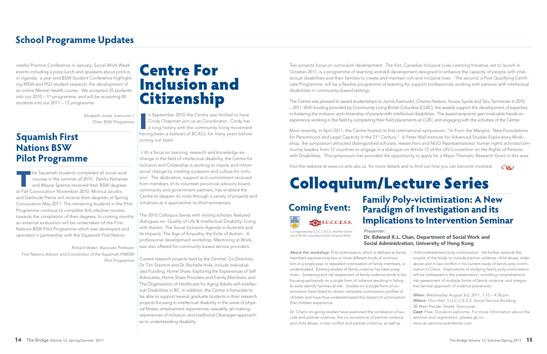cessful Practice Conference in January; Social Work Week events including a pizza lunch and speakers about politics in Uganda; a year end BSW Student Conference highlighting MSW and PhD student research; the development of an online Mental Health course. We accepted 35 students into our 2010 – 11 programme, and will be accepting 40 students into our 2011 – 12 programme.

> *Elizabeth Jones, Instructor 1 Chair, BSW Programme*

### **Squamish First Nations BSW Pilot Programme**

The Squamish students completed all social work<br>courses in the summer of 2010. Dehlia Nahanee<br>and Wayne Spence received their BSW degrees<br>at Fall Convection Navember 2010. Manica Jacobs courses in the summer of 2010. Dehlia Nahanee and Wayne Spence received their BSW degrees at Fall Convocation November 2010. Monica Jacobs and Gertrude Pierre will receive their degrees at Spring Convocation May 2011. The remaining students in the Pilot Programme continue to complete Arts elective courses towards the completion of their degrees. In coming months an external evaluation will be undertaken of the First Nations BSW Pilot Programme which was developed and operated in partnership with the Squamish First Nation.

In September 2010 the Centre was thrilled to have<br>Cindy Chapman join us as Coordinator. Cindy has<br>a long history with the community living movement<br>having been a stalwart of BCACL for many years before n September 2010 the Centre was thrilled to have Cindy Chapman join us as Coordinator. Cindy has a long history with the community living movement joining our team.

*Richard Vedan, Associate Professor First Nations Advisor and Coordinator of the Squamish FNBSW Pilot Programme* 

## Centre For Inclusion and Citizenship

With a focus on learning, research and knowledge exchange in the field of intellectual disability, the Centre for Inclusion and Citizenship is working to inspire and inform social change by creating a passion and culture for inclusion. The dedication, support and commitment received from members of its volunteer provincial advisory board, community and government partners, has enabled the Centre to deepen its roots through a variety of projects and initiatives as it approaches its third anniversary.

The 2010 Colloquia Series with visiting scholars featured dialogues on: Quality of Life & Intellectual Disability; Living with Autism; The Social Inclusion Agenda in Australia and Its Impacts; The Age of Empathy, the Exile of Autism. A professional development workshop, Mentoring at Work, was also offered for community based service providers.

Current research projects lead by the Centres' Co-Directors, Dr. Tim Stainton and Dr. Rachelle Hole, include Individualized Funding, Home Share: Exploring the Experiences of Self Advocates, Home Share Providers and Family Members; and The Organization of Healthcare for Aging Adults with Intellectual Disabilities in BC. In addition, the Centre is fortunate to be able to support several graduate students in their research projects focusing in intellectual disability in the areas of physical fitness, employment experiences, sexuality, art-making, experiences of inclusion, and traditional Okanagan approaches to understanding disability.

as<br>niz<br>nh *About the workshop:* Poly-victimization, which is defined as family members experiencing two or more different kinds of victimization in a single year, or repeated victimization of family members, understudied. Existing studies of family violence has been pragmatic. Screening and risk assessment of family violence tends to b focusing exclusively on a single form of violence resulting in failing to early identify families-at-risk. Studies on a single form of victimization have failed to obtain complete victimization profiles of children and have thus underestimated the impact of victimization that children experience. child maltreatment poly-victimization. He further extends the scopes of the study to include partner violence, child abuse, elder abuse and in-law conflict in his current study of family poly-victimization in China. Implications of studying family poly-victimization will be addressed in the presentation, including comprehensive risk assessment of multiple forms of family violence, and integrative familial approach of violence prevention. *When:* Wednesday August 3rd, 2011, 1:15 – 4:30 pm *Where:* Choi Hall, S.U.C.C.E.S.S. Social Service Building,

Two projects focus on curriculum development. The first, Canadian Inclusive Lives Learning Initiative, set to launch in October 2011, is a programme of learning and skill development designed to enhance the capacity of people with intellectual disabilities and their families to create and maintain rich and inclusive lives. The second, a Post Qualifying Certificate Programme, will be a flexible programme of learning for support professionals working with persons with intellectual disabilities in community–based settings.

## **Coming Event:** S.U.C.C.E.S.S.

The Centre was pleased to award studentships to Jamila Kamrudin, Cherise Neilson, Yousra Syeda and Taru Tamminen in 2010 – 2011. With funding provided by Community Living British Columbia (CLBC), the awards support the development of expertise in fostering the inclusion and citizenship of people with intellectual disabilities. The award recipients gain invaluable hands-on experience working in the field by completing their field placements at CLBC and engaging with the activities of the Centre.

Most recently, in April 2011, the Centre hosted its first international symposium, "In From the Margins: New Foundations for Personhood and Legal Capacity in the 21<sup>st</sup> Century." A Peter Wall Institute for Advanced Studies Exploratory Workshop, the symposium attracted distinguished scholars, researchers and NGO Representatives/ human rights activists/community leaders from 12 countries to engage in a dialogue on Article 12 of the UN Convention on the Rights of Persons with Disabilities. This symposium has provided the opportunity to apply for a Major Thematic Research Grant in this area.

Visit the website at www.cic.arts.ubc.ca for more details and to find out how you can become involved.  $\qquad \qquad \bullet$ 

# Colloquium/Lecture Series

## **School Programme Updates**

Dr. Chan's on-going studies have examined the correlation of suicide and partner violence, the co-occurrence of partner violence and child abuse, in-law conflict and partner violence, as well as

|  | When: Wednesday August 3rd, 2011, 1:15 - 4:30 pm             |
|--|--------------------------------------------------------------|
|  | Where: Choi Hall, S.U.C.C.E.S.S. Social Service Building,    |
|  | 28 West Pender Street, Vancouver                             |
|  | Cost: Free, Donation welcome. For more information about the |
|  | seminar and registration, please go to:                      |
|  | www.dv-seminar.eventbrite.com                                |

**Family Poly-victimization: A New Paradigm of Investigation and its Implications to Intervention Seminar**

| шу |  |
|----|--|
| is |  |
| эc |  |
| J  |  |
| f  |  |

#### *Presenter:* Dr. Edward K.L. Chan, Department of Social Work and Social Administration, University of Hong Kong

Co-organized by S.U.C.C.E.S.S. and the University of British Columbia School of Social Work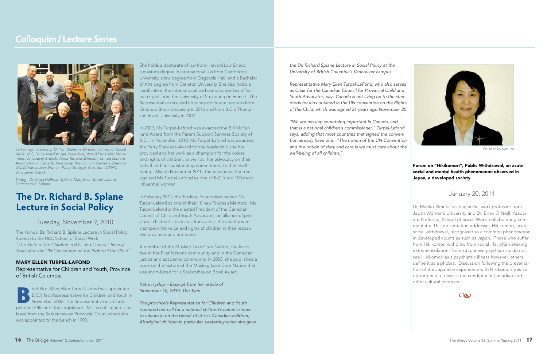## **The Dr. Richard B. Splane Lecture in Social Policy**

#### Tuesday, November 9, 2010

The Annual Dr. Richard B. Splane Lecture in Social Policy Speech to the UBC School of Social Work *"The State of the Children in B.C. and Canada: Twenty Years after the UN Convention on the Rights of the Child"*

#### MARY ELLEN TURPEL-LAFOND Representative for Children and Youth, Province of British Columbia

Frief Bio: Mary Ellen Turpel-Lafond was appointed<br>B.C.'s first Representative for Children and Youth in<br>November 2006. The Representative is an Inde-B.C.'s first Representative for Children and Youth in November 2006. The Representative is an Independent Officer of the Legislature. Ms Turpel-Lafond is on leave from the Saskatchewan Provincial Court, where she was appointed to the bench in 1998.

She holds a doctorate of law from Harvard Law School, a master's degree in international law from Cambridge University, a law degree from Osgoode Hall, and a Bachelor of Arts degree from Carleton University. She also holds a certificate in the international and comparative law of human rights from the University of Strasbourg in France. The Representative received honorary doctorate degrees from Ontario's Brock University in 2010 and from B.C.'s Thompson Rivers University in 2009.

In 2009, Ms Turpel-Lafond was awarded the Bill McFarland Award from the Parent Support Services Society of B.C. In November 2010, Ms Turpel-Lafond was awarded the Perry Shawana Award for the leadership she has provided and her work as a champion for the voices and rights of children, as well as, her advocacy on their behalf and her outstanding commitment to their wellbeing. Also in November 2010, the Vancouver Sun recognized Ms Turpel-Lafond as one of B.C.'s top 100 most influential women.

Left to right standing: Dr Tim Stainton, Director, School of Social *Work UBC, Dr Leonard Angel, President, World Federalist Movement, Vancouver Branch, Anna Terrana, Director, United Nations Association in Canada, Vancouver Branch, Jim Siemens, Director, UNAC Vancouver Branch, Patsy George, President UNAC Vancouver Branch* 

> In February 2011, the Trudeau Foundation named Ms Turpel-Lafond as one of their 10 new Trudeau Mentors. Ms Turpel-Lafond is the elected President of the Canadian Council of Child and Youth Advocates, an alliance of provincial children's advocates from across the country who champion the voice and rights of children in their respective provinces and territories.

#### Forum on "Hikikomori", Public Withdrawal, an acute<br>social and mental health phenomenon observed in<br>Japan, a developed society. social and mental health phenomenon observed in Japan, a developed society

A member of the Muskeg Lake Cree Nation, she is active in her First Nations community and in the Canadian justice and academic community. In 2005, she published a book on the history of the Muskeg Lake Cree Nation that was short-listed for a Saskatchewan Book Award.

#### *Katie Hyslop – Excerpt from her article of November 10, 2010, The Tyee*

*The province's Representative for Children and Youth repeated her call for a national children's commissioner to advocate on the behalf of at-risk Canadian children, Aboriginal children in particular, yesterday when she gave* 

### **Colloquim / Lecture Series**



*Sitting: Dr Verna Huffman Splane, Mary Ellen Turpel-Lafond Dr Richard B. Splane*

*the Dr. Richard Splane Lecture in Social Policy at the University of British Columbia's Vancouver campus.*

*Representative Mary Ellen Turpel-LaFond, who also serves as Chair for the Canadian Council for Provincial Child and Youth Advocates, says Canada is not living up to the standards for kids outlined in the UN convention on the Rights of the Child, which was signed 21 years ago November 20.*

*"We are missing something important in Canada, and that is a national children's commissioner," Turpel-Lafond says, adding that most countries that signed the convention already have one. "The notion of the UN Convention and the notion of duty and care is we must care about the well-being of all children."*

#### January 20, 2011

Dr. Mariko Kimura, visiting social work professor from Japan Women's University and Dr. Brian O'Neill, Associate Professor, School of Social Work, collaborating commentator This presentation addresses Hikikomori, acute social withdrawal, recognized as a common phenomenon in developed countries such as Japan. Those who suffer from Hikikomori withdraw from social life, often seeking extreme isolation. Some Japanese psychiatrists do not see Hikikomori as a psychiatric illness however, others define it as a phobia. Discussion following the presentation of the Japanese experience with Hikikomori was an opportunity to discuss the condition in Canadian and other cultural contexts.





*Dr. Mariko Kimura*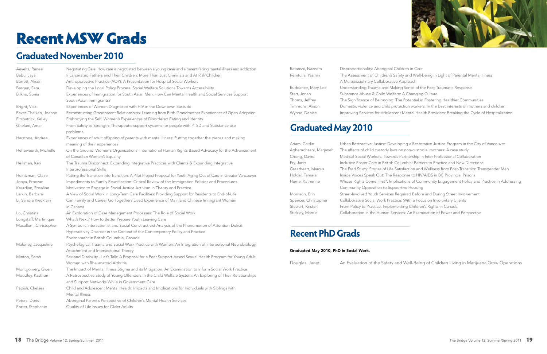| Aeyelts, Renee        | Negotiating Care: How care is negotiated between a young carer and a parent facing mental illness and addiction                                                                                                                 |
|-----------------------|---------------------------------------------------------------------------------------------------------------------------------------------------------------------------------------------------------------------------------|
| Babu, Jaya            | Incarcerated Fathers and Their Children: More Than Just Criminals and At Risk Children                                                                                                                                          |
| Barrett, Alison       | Anti-oppressive Practice (AOP): A Presentation for Hospital Social Workers                                                                                                                                                      |
| Bergen, Sara          | Developing the Local Policy Process: Social Welfare Solutions Towards Accessibility                                                                                                                                             |
| Bilkhu, Sonia         | Experiences of Immigration for South Asian Men: How Can Mental Health and Social Services Support<br>South Asian Immigrants?                                                                                                    |
| Bright, Vicki         | Experiences of Women Diagnosed with HIV in the Downtown Eastside                                                                                                                                                                |
| Eaves-Thalken, Joanne | Reconstructing Grandparent Relationships: Learning from Birth-Grandmother Experiences of Open Adoption                                                                                                                          |
| Fitzpatrick, Kelley   | Embodying the Self: Women's Experiences of Disordered Eating and Identity                                                                                                                                                       |
| Ghelani, Amar         | From Safety to Strength: Therapeutic support systems for people with PTSD and Substance use<br>problems                                                                                                                         |
| Harstone, Andrea      | Experiences of adult offspring of parents with mental illness: Putting together the pieces and making<br>meaning of their experiences                                                                                           |
| Heheweerth, Michelle  | On the Ground: Women's Organizations' International Human Rights Based Advocacy for the Advancement<br>of Canadian Women's Equality                                                                                             |
| Heikman, Keri         | The Trauma Disconnect: Expanding Integrative Practices with Clients & Expanding Integrative<br>Interprofessional Skills                                                                                                         |
| Heintzman, Claire     | Putting the Transition into Transition: A Pilot Project Proposal for Youth Aging Out of Care in Greater Vancouver                                                                                                               |
| Jooya, Froozan        | Impediments to Family Reunification: Critical Review of the Immigration Policies and Procedures                                                                                                                                 |
| Keurdian, Rosaline    | Motivation to Engage in Social Justice Activism in Theory and Practice                                                                                                                                                          |
| Larkin, Barbara       | A View of Social Work in Long-Term Care Facilities: Providing Support for Residents to End-of-Life                                                                                                                              |
| Li, Sandra Kwok Sin   | Can Family and Career Go Together? Lived Experience of Mainland Chinese Immigrant Women<br>in Canada                                                                                                                            |
| Lo, Christina         | An Exploration of Case Management Processes: The Role of Social Work                                                                                                                                                            |
| Longstaff, Martinique | What's Next? How to Better Prepare Youth Leaving Care                                                                                                                                                                           |
| Macallum, Christopher | A Symbolic Interactionist and Social Constructivist Analysis of the Phenomenon of Attention-Deficit<br>Hyperactivity Disorder in the Context of the Contemporary Policy and Practice<br>Environment in British Columbia, Canada |
| Maloney, Jacqueline   | Psychological Trauma and Social Work Practice with Women: An Integration of Interpersonal Neurobiology,<br>Attachment and Intersectional Theory                                                                                 |
| Minton, Sarah         | Sex and Disability - Let's Talk: A Proposal for a Peer Support-based Sexual Health Program for Young Adult<br>Women with Rheumatoid Arthritis                                                                                   |
| Montgomery, Gwen      | The Impact of Mental Illness Stigma and its Mitigation: An Examination to Inform Social Work Practice                                                                                                                           |
| Moodley, Kasthuri     | A Retrospective Study of Young Offenders in the Child Welfare System: An Exploring of Their Relationships<br>and Support Networks While in Government Care                                                                      |
| Papish, Chelsea       | Child and Adolescent Mental Health: Impacts and Implications for Individuals with Siblings with<br>Mental Illness                                                                                                               |
| Peters, Doris         | Aboriginal Parent's Perspective of Children's Mental Health Services                                                                                                                                                            |
| Porter, Stephanie     | Quality of Life Issues for Older Adults                                                                                                                                                                                         |

Ratanshi, Nazeem Disproportionality: Aboriginal Children in Care A Multidisciplinary Collaborative Approach Starr, Jonah Substance Abuse & Child Welfare: A Changing Culture

- 
- Remtulla, Yasmin The Assessment of Children's Safety and Well-being in Light of Parental Mental Illness:
	-
- Ruddance, Mary-Lee Understanding Trauma and Making Sense of the Post-Traumatic Response
	-
- Thoms, Jeffrey The Significance of Belonging: The Potential in Fostering Healthier Communities
- Timmons, Alison Domestic violence and child protection workers: In the best interests of mothers and children
- Wynne, Denise Improving Services for Adolescent Mental Health Providers: Breaking the Cycle of Hospitalization
- Adam, Caitlin Urban Restorative Justice: Developing a Restorative Justice Program in the City of Vancouver
- Aghemohseni, Marjaneh The effects of child custody laws on non-custodial mothers: A case study
- Chong, David Medical Social Workers: Towards Partnership in Inter-Professional Collaboration
- Fry, Janis Inclusive Foster Care in British Columbia: Barriers to Practice and New Directions
- Greatheart, Marcus The Fred Study: Stories of Life Satisfaction and Wellness from Post-Transition Transgender Men
- Holdal, Tamara Inside Voices Speak Out: The Response to HIV/AIDS in BC Provincial Prisons
- Hume, Katherine Whose Rights Come First?: Implications of Community Engagement Policy and Practice in Addressing
- Morrison, Erin Street-Involved Youth Services Required Before and During Street Involvement
- Spencer, Christopher Collaborative Social Work Practice: With a Focus on Involuntary Clients
	-
- Stickley, Marnie Collaboration in the Human Services: An Examination of Power and Perspective

Douglas, Janet An Evaluation of the Safety and Well-Being of Children Living in Marijuana Grow Operations

Community Opposition to Supportive Housing Stewart, Kristen From Policy to Practice: Implementing Children's Rights in Canada

#### Graduated May 2010, PhD in Social Work.

## Recent MSW Grads

## **Graduated November 2010**

### **Graduated May 2010**

#### **Recent PhD Grads**

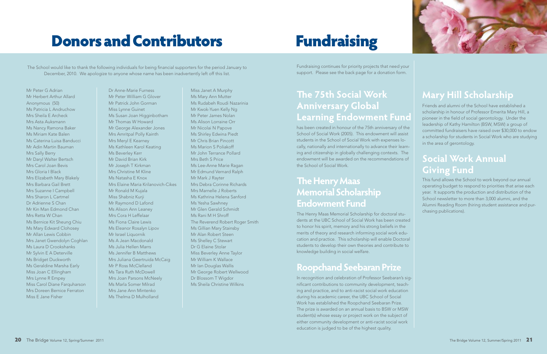Fundraising continues for priority projects that need your support. Please see the back page for a donation form.

## **The 75th Social Work Anniversary Global Learning Endowment Fund**

has been created in honour of the 75th anniversary of the School of Social Work (2005). This endowment will assist students in the School of Social Work with expenses locally, nationally and internationally to advance their learning and citizenship in globally challenging contexts. The endowment will be awarded on the recommendations of the School of Social Work.

## **The Henry Maas Memorial Scholarship Endowment Fund**

The Henry Maas Memorial Scholarship for doctoral students at the UBC School of Social Work has been created to honor his spirit, memory and his strong beliefs in the merits of theory and research informing social work education and practice. This scholarship will enable Doctoral students to develop their own theories and contribute to knowledge building in social welfare.

### **Roopchand Seebaran Prize**

In recognition and celebration of Professor Seebaran's significant contributions to community development, teaching and practice, and to anti-racist social work education during his academic career, the UBC School of Social Work has established the Roopchand Seebaran Prize. The prize is awarded on an annual basis to BSW or MSW student(s) whose essay or project work on the subject of either community development or anti-racist social work education is judged to be of the highest quality.



## **Mary Hill Scholarship**

Friends and alumni of the School have established a scholarship in honour of Professor Emerita Mary Hill, a pioneer in the field of social gerontology. Under the leadership of Kathy Hamilton (BSW, MSW) a group of committed fundraisers have raised over \$30,000 to endow a scholarship for students in Social Work who are studying in the area of gerontology.

## **Social Work Annual Giving Fund**

This fund allows the School to work beyond our annual operating budget to respond to priorities that arise each year. It supports the production and distribution of the School newsletter to more than 3,000 alumni, and the Alumni Reading Room (hiring student assistance and purchasing publications).

## **Donors and Contributors Fundraising**

The School would like to thank the following individuals for being financial supporters for the period January to December, 2010. We apologize to anyone whose name has been inadvertently left off this list.

Mr Peter G Adrian Mr Herbert Arthur Allard Anonymous (50) Ms Patricia L Andruchow Mrs Sheila E Archeck Mrs Asta Auksmann Ms Nancy Ramona Baker Ms Miriam Kate Balen Ms Caterina Luisa Banducci Mr Adin Martin Bauman Mrs Sally Berry Mr Daryl Walter Bertsch Mrs Carol Joan Bevis Mrs Gloria I Black Mrs Elizabeth Mary Blakely Mrs Barbara Gail Brett Mrs Suzanne I Campbell Mrs Sharon L Cartmel Dr Adrienne S Chan Mr Kin Man Edmond Chan Mrs Retta W Chan Ms Bernice Kit Sheung Chiu Ms Mary Edward Clohosey Mr Allan Lewis Cobbin Mrs Janet Gwendolyn Coghlan Ms Laura D Crookshanks Mr Sylvin E A Deterville Ms Bridget Duckworth Ms Geraldine Marsha Early Miss Joan C Ellingham Mrs Lynne R Empey Miss Carol Diane Farquharson Mrs Doreen Bernice Ferraton Miss E Jane Fisher

Dr Anne-Marie Furness Mr Peter William G Glover Mr Patrick John Gorman Miss Lynne Guinet Ms Susan Joan Higginbotham Mr Thomas W Howard Mr George Alexander Jones Mrs Amritpal Polly Kainth Mrs Meryl E Kearney Ms Kathleen Karol Keating Ms Beverley Kerr Mr David Brian Kirk Mr Joseph T Kirkman Mrs Christine M Kline Ms Natasha E Knox Mrs Elaine Maria Krilanovich-Cikes Mr Ronald M Kujala Miss Shabniz Kurji Mr Raymond D Lafond Ms Alison Ann Leaney Mrs Cora H Leffelaar Ms Fiona Claire Lewis Ms Eleanor Rosalyn Lipov Mr Israel Liquornik Ms A Jean Macdonald Ms Julia Hellen Marrs Ms Jennifer B Matthews Mrs Juliana Geertruida McCaig Mr P Ross McClelland Ms Tara Ruth McDowell Mrs Joan Parsons McNeely Ms Marla Somer Milrad Mrs Jane Ann Mintenko Ms Thelma D Mulholland

Miss Janet A Murphy Ms Mary Ann Mutter Ms Rudabeh Roudi Nazarinia Mr Kwok-Yuen Kelly Ng Mr Peter James Nolan Ms Alison Lorraine Orr Mr Nicolai N Papove Ms Shirley Edwina Piedt Mr Chris Brian Pincott Ms Marion S Poliakoff Mr John Terrance Pollard Mrs Beth S Price Ms Lee-Anne Marie Ragan Mr Edmund Vernard Ralph Mr Mark J Rayter Mrs Debra Corinne Richards Mrs Marnelle J Roberts Ms Kathrina Helena Sanford Ms Yesha Sawhney Mr Glen Gerald Schmidt Ms Rani M H Shroff The Reverend Robert Roger Smith Ms Gillian Mary Stainsby Mr Alan Robert Steen Ms Shelley C Stewart Dr G Elaine Stolar Miss Beverley Anne Taylor Mr William K Wallace Mr Ian Douglas Wallis Mr George Robert Wellwood Dr Blossom T Wigdor Ms Sheila Christine Wilkins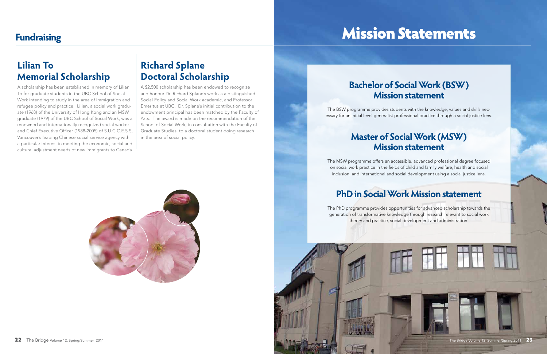## Mission Statements

## **Lilian To Memorial Scholarship**

A scholarship has been established in memory of Lilian To for graduate students in the UBC School of Social Work intending to study in the area of immigration and refugee policy and practice. Lilian, a social work graduate (1968) of the University of Hong Kong and an MSW graduate (1979) of the UBC School of Social Work, was a renowned and internationally recognized social worker and Chief Executive Officer (1988-2005) of S.U.C.C.E.S.S, Vancouver's leading Chinese social service agency with a particular interest in meeting the economic, social and cultural adjustment needs of new immigrants to Canada.

## **Richard Splane Doctoral Scholarship**

A \$2,500 scholarship has been endowed to recognize and honour Dr. Richard Splane's work as a distinguished Social Policy and Social Work academic, and Professor Emeritus at UBC. Dr. Splane's initial contribution to the endowment principal has been matched by the Faculty of Arts. The award is made on the recommendation of the School of Social Work, in consultation with the Faculty of Graduate Studies, to a doctoral student doing research in the area of social policy.



## **Bachelor of Social Work (BSW) Mission statement**

The BSW programme provides students with the knowledge, values and skills necessary for an initial level generalist professional practice through a social justice lens.

## **Master of Social Work (MSW) Mission statement**

The MSW programme offers an accessible, advanced professional degree focused on social work practice in the fields of child and family welfare, health and social inclusion, and international and social development using a social justice lens.

## **PhD in Social Work Mission statement**

The PhD programme provides opportunities for advanced scholarship towards the generation of transformative knowledge through research relevant to social work theory and practice, social development and administration.

## **Fundraising**